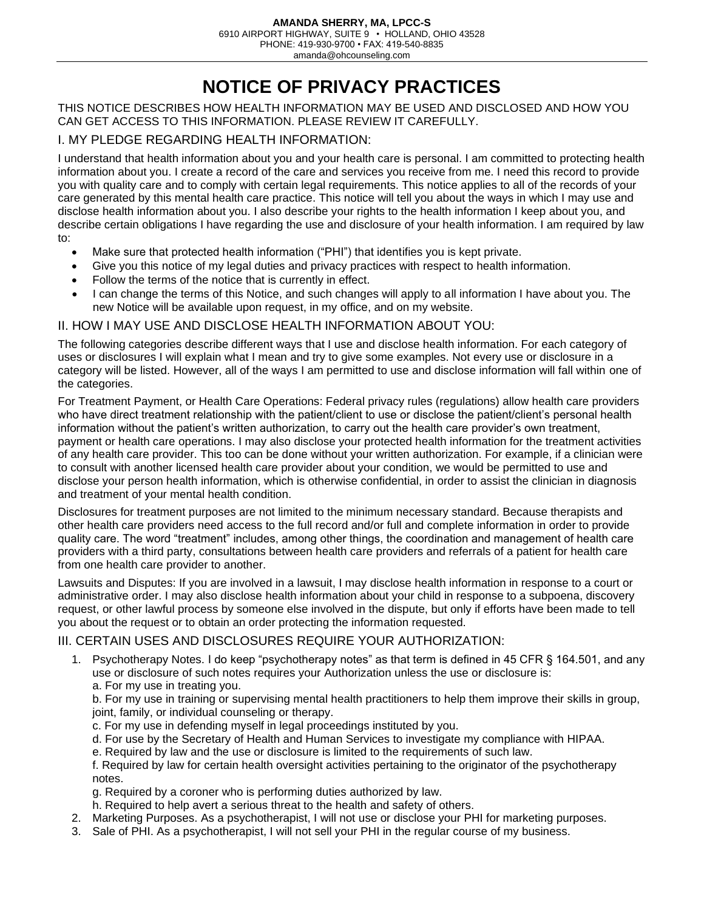PHONE: 419-930-9700 • FAX: 419-540-8835

amanda@ohcounseling.com

# **NOTICE OF PRIVACY PRACTICES**

THIS NOTICE DESCRIBES HOW HEALTH INFORMATION MAY BE USED AND DISCLOSED AND HOW YOU CAN GET ACCESS TO THIS INFORMATION. PLEASE REVIEW IT CAREFULLY.

## I. MY PLEDGE REGARDING HEALTH INFORMATION:

I understand that health information about you and your health care is personal. I am committed to protecting health information about you. I create a record of the care and services you receive from me. I need this record to provide you with quality care and to comply with certain legal requirements. This notice applies to all of the records of your care generated by this mental health care practice. This notice will tell you about the ways in which I may use and disclose health information about you. I also describe your rights to the health information I keep about you, and describe certain obligations I have regarding the use and disclosure of your health information. I am required by law to:

- Make sure that protected health information ("PHI") that identifies you is kept private.
- Give you this notice of my legal duties and privacy practices with respect to health information.
- Follow the terms of the notice that is currently in effect.
- I can change the terms of this Notice, and such changes will apply to all information I have about you. The new Notice will be available upon request, in my office, and on my website.

#### II. HOW I MAY USE AND DISCLOSE HEALTH INFORMATION ABOUT YOU:

The following categories describe different ways that I use and disclose health information. For each category of uses or disclosures I will explain what I mean and try to give some examples. Not every use or disclosure in a category will be listed. However, all of the ways I am permitted to use and disclose information will fall within one of the categories.

For Treatment Payment, or Health Care Operations: Federal privacy rules (regulations) allow health care providers who have direct treatment relationship with the patient/client to use or disclose the patient/client's personal health information without the patient's written authorization, to carry out the health care provider's own treatment, payment or health care operations. I may also disclose your protected health information for the treatment activities of any health care provider. This too can be done without your written authorization. For example, if a clinician were to consult with another licensed health care provider about your condition, we would be permitted to use and disclose your person health information, which is otherwise confidential, in order to assist the clinician in diagnosis and treatment of your mental health condition.

Disclosures for treatment purposes are not limited to the minimum necessary standard. Because therapists and other health care providers need access to the full record and/or full and complete information in order to provide quality care. The word "treatment" includes, among other things, the coordination and management of health care providers with a third party, consultations between health care providers and referrals of a patient for health care from one health care provider to another.

Lawsuits and Disputes: If you are involved in a lawsuit, I may disclose health information in response to a court or administrative order. I may also disclose health information about your child in response to a subpoena, discovery request, or other lawful process by someone else involved in the dispute, but only if efforts have been made to tell you about the request or to obtain an order protecting the information requested.

#### III. CERTAIN USES AND DISCLOSURES REQUIRE YOUR AUTHORIZATION:

1. Psychotherapy Notes. I do keep "psychotherapy notes" as that term is defined in 45 CFR § 164.501, and any use or disclosure of such notes requires your Authorization unless the use or disclosure is: a. For my use in treating you.

b. For my use in training or supervising mental health practitioners to help them improve their skills in group, joint, family, or individual counseling or therapy.

- c. For my use in defending myself in legal proceedings instituted by you.
- d. For use by the Secretary of Health and Human Services to investigate my compliance with HIPAA.
- e. Required by law and the use or disclosure is limited to the requirements of such law.

f. Required by law for certain health oversight activities pertaining to the originator of the psychotherapy notes.

- g. Required by a coroner who is performing duties authorized by law.
- h. Required to help avert a serious threat to the health and safety of others.
- 2. Marketing Purposes. As a psychotherapist, I will not use or disclose your PHI for marketing purposes.
- 3. Sale of PHI. As a psychotherapist, I will not sell your PHI in the regular course of my business.